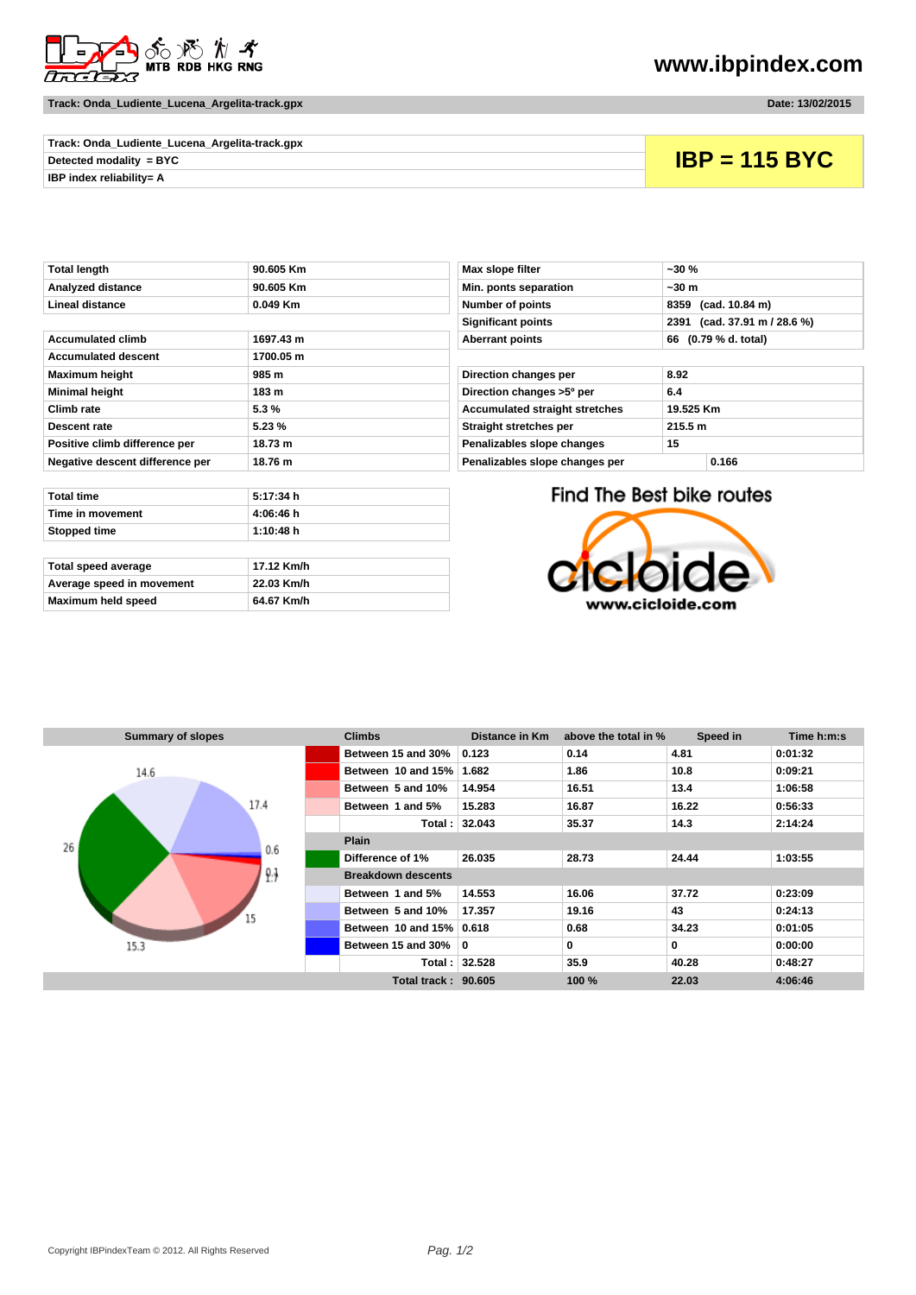

**Track: Onda\_Ludiente\_Lucena\_Argelita-track.gpx Date: 13/02/2015** 

**www.ibpindex.com**

| Track: Onda_Ludiente_Lucena_Argelita-track.gpx |  |  |  |  |
|------------------------------------------------|--|--|--|--|
| Detected modality = BYC                        |  |  |  |  |
| IBP index reliabilitv= A                       |  |  |  |  |
|                                                |  |  |  |  |

**Detected modality = BYC IBP = 115 BYC**

| Analyzed distance               | 90.605 Km | Min. ponts separation                 | ~50m                      |
|---------------------------------|-----------|---------------------------------------|---------------------------|
| <b>Lineal distance</b>          | 0.049 Km  | Number of points                      | 8359 (cad. 10.84 m)       |
|                                 |           | <b>Significant points</b>             | 2391 (cad. 37.91 m        |
| <b>Accumulated climb</b>        | 1697.43 m | <b>Aberrant points</b>                | 66 (0.79 % d. total)      |
| <b>Accumulated descent</b>      | 1700.05 m |                                       |                           |
| <b>Maximum height</b>           | 985 m     | Direction changes per                 | 8.92                      |
| <b>Minimal height</b>           | 183 m     | Direction changes >5° per             | 6.4                       |
| Climb rate                      | $5.3 \%$  | <b>Accumulated straight stretches</b> | 19.525 Km                 |
| Descent rate                    | 5.23 %    | Straight stretches per                | 215.5 m                   |
| Positive climb difference per   | 18.73 m   | Penalizables slope changes            | 15                        |
| Negative descent difference per | 18.76 m   | Penalizables slope changes per        | 0.166                     |
|                                 |           |                                       |                           |
| <b>Total time</b>               | 5:17:34 h |                                       | Find The Best bike routes |
| Time in movement                | 4:06:46 h |                                       |                           |
| Stopped time                    | 1:10:48 h |                                       |                           |
|                                 |           |                                       |                           |

| Total speed average       | 17.12 Km/h |
|---------------------------|------------|
| Average speed in movement | 22.03 Km/h |
| Maximum held speed        | 64.67 Km/h |

| Total length                    | 90.605 Km  | $-30%$<br>Max slope filter              |                     |                              |
|---------------------------------|------------|-----------------------------------------|---------------------|------------------------------|
| Analyzed distance               | 90.605 Km  | Min. ponts separation                   | ~50m                |                              |
| Lineal distance                 | $0.049$ Km | <b>Number of points</b>                 | 8359 (cad. 10.84 m) |                              |
|                                 |            | <b>Significant points</b>               |                     | 2391 (cad. 37.91 m / 28.6 %) |
| Accumulated climb               | 1697.43 m  | <b>Aberrant points</b>                  |                     | 66 (0.79 % d. total)         |
| <b>Accumulated descent</b>      | 1700.05 m  |                                         |                     |                              |
| Maximum height                  | 985 m      | Direction changes per                   | 8.92                |                              |
| Minimal height                  | 183 m      | Direction changes >5° per<br>6.4        |                     |                              |
| Climb rate                      | 5.3%       | <b>Accumulated straight stretches</b>   | 19.525 Km           |                              |
| Descent rate                    | 5.23%      | 215.5 m<br>Straight stretches per       |                     |                              |
| Positive climb difference per   | 18.73 m    | Penalizables slope changes<br>15        |                     |                              |
| Negative descent difference per | 18.76 m    | Penalizables slope changes per<br>0.166 |                     |                              |
|                                 |            |                                         |                     |                              |

Find The Best bike routes



| <b>Summary of slopes</b> | <b>Climbs</b>                | Distance in Km | above the total in % | Speed in | Time h:m:s |  |
|--------------------------|------------------------------|----------------|----------------------|----------|------------|--|
|                          | Between 15 and 30%           | 0.123          | 0.14                 | 4.81     | 0:01:32    |  |
| 14.6                     | Between 10 and 15%           | 1.682          | 1.86                 | 10.8     | 0:09:21    |  |
|                          | Between 5 and 10%            | 14.954         | 16.51                | 13.4     | 1:06:58    |  |
| 17.4                     | Between 1 and 5%             | 15.283         | 16.87                | 16.22    | 0:56:33    |  |
|                          |                              | Total: 32.043  | 35.37                | 14.3     | 2:14:24    |  |
| 26<br>0.6                | <b>Plain</b>                 |                |                      |          |            |  |
|                          | Difference of 1%             | 26.035         | 28.73                | 24.44    | 1:03:55    |  |
| 9.3                      | <b>Breakdown descents</b>    |                |                      |          |            |  |
|                          | Between 1 and 5%             | 14.553         | 16.06                | 37.72    | 0:23:09    |  |
| 15                       | Between 5 and 10%            | 17.357         | 19.16                | 43       | 0:24:13    |  |
|                          | Between 10 and 15% 0.618     |                | 0.68                 | 34.23    | 0:01:05    |  |
| 15.3                     | Between 15 and 30% $\vert$ 0 |                | 0                    | 0        | 0:00:00    |  |
|                          |                              | Total: 32.528  | 35.9                 | 40.28    | 0:48:27    |  |
|                          | Total track: 90.605          |                | 100 %                | 22.03    | 4:06:46    |  |